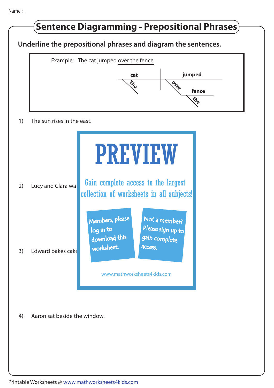